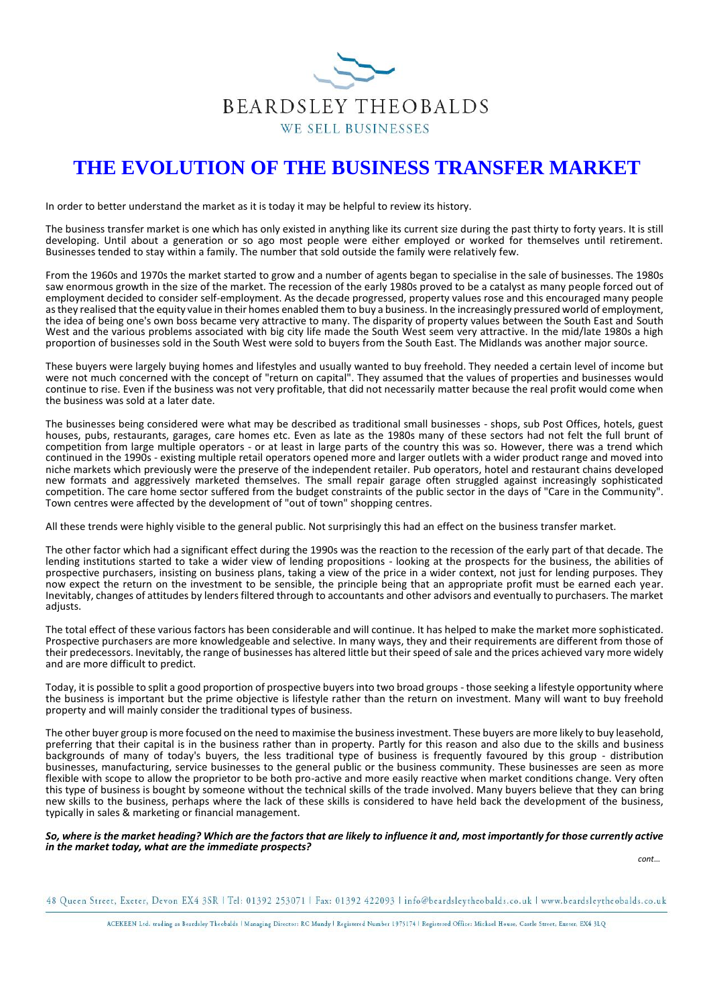

# **THE EVOLUTION OF THE BUSINESS TRANSFER MARKET**

In order to better understand the market as it is today it may be helpful to review its history.

The business transfer market is one which has only existed in anything like its current size during the past thirty to forty years. It is still developing. Until about a generation or so ago most people were either employed or worked for themselves until retirement. Businesses tended to stay within a family. The number that sold outside the family were relatively few.

From the 1960s and 1970s the market started to grow and a number of agents began to specialise in the sale of businesses. The 1980s saw enormous growth in the size of the market. The recession of the early 1980s proved to be a catalyst as many people forced out of employment decided to consider self-employment. As the decade progressed, property values rose and this encouraged many people as they realised that the equity value in their homes enabled them to buy a business. In the increasingly pressured world of employment, the idea of being one's own boss became very attractive to many. The disparity of property values between the South East and South West and the various problems associated with big city life made the South West seem very attractive. In the mid/late 1980s a high proportion of businesses sold in the South West were sold to buyers from the South East. The Midlands was another major source.

These buyers were largely buying homes and lifestyles and usually wanted to buy freehold. They needed a certain level of income but were not much concerned with the concept of "return on capital". They assumed that the values of properties and businesses would continue to rise. Even if the business was not very profitable, that did not necessarily matter because the real profit would come when the business was sold at a later date.

The businesses being considered were what may be described as traditional small businesses - shops, sub Post Offices, hotels, guest houses, pubs, restaurants, garages, care homes etc. Even as late as the 1980s many of these sectors had not felt the full brunt of competition from large multiple operators - or at least in large parts of the country this was so. However, there was a trend which continued in the 1990s - existing multiple retail operators opened more and larger outlets with a wider product range and moved into niche markets which previously were the preserve of the independent retailer. Pub operators, hotel and restaurant chains developed new formats and aggressively marketed themselves. The small repair garage often struggled against increasingly sophisticated competition. The care home sector suffered from the budget constraints of the public sector in the days of "Care in the Community". Town centres were affected by the development of "out of town" shopping centres.

All these trends were highly visible to the general public. Not surprisingly this had an effect on the business transfer market.

The other factor which had a significant effect during the 1990s was the reaction to the recession of the early part of that decade. The lending institutions started to take a wider view of lending propositions - looking at the prospects for the business, the abilities of prospective purchasers, insisting on business plans, taking a view of the price in a wider context, not just for lending purposes. They now expect the return on the investment to be sensible, the principle being that an appropriate profit must be earned each year. Inevitably, changes of attitudes by lenders filtered through to accountants and other advisors and eventually to purchasers. The market adjusts.

The total effect of these various factors has been considerable and will continue. It has helped to make the market more sophisticated. Prospective purchasers are more knowledgeable and selective. In many ways, they and their requirements are different from those of their predecessors. Inevitably, the range of businesses has altered little but their speed of sale and the prices achieved vary more widely and are more difficult to predict.

Today, it is possible to split a good proportion of prospective buyers into two broad groups - those seeking a lifestyle opportunity where the business is important but the prime objective is lifestyle rather than the return on investment. Many will want to buy freehold property and will mainly consider the traditional types of business.

The other buyer group is more focused on the need to maximise the business investment. These buyers are more likely to buy leasehold, preferring that their capital is in the business rather than in property. Partly for this reason and also due to the skills and business backgrounds of many of today's buyers, the less traditional type of business is frequently favoured by this group - distribution businesses, manufacturing, service businesses to the general public or the business community. These businesses are seen as more flexible with scope to allow the proprietor to be both pro-active and more easily reactive when market conditions change. Very often this type of business is bought by someone without the technical skills of the trade involved. Many buyers believe that they can bring new skills to the business, perhaps where the lack of these skills is considered to have held back the development of the business, typically in sales & marketing or financial management.

### *So, where is the market heading? Which are the factors that are likely to influence it and, most importantly for those currently active in the market today, what are the immediate prospects?*

*cont*…

48 Queen Street, Exeter, Devon EX4 3SR | Tel: 01392 253071 | Fax: 01392 422093 | info@beardsleytheobalds.co.uk | www.beardsleytheobalds.co.uk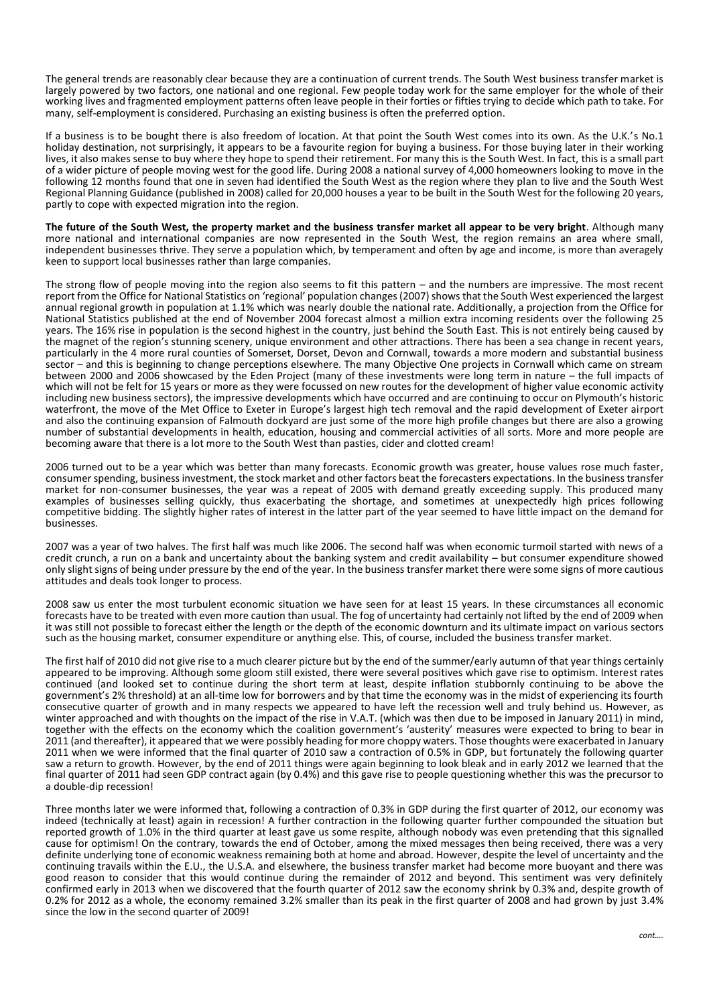The general trends are reasonably clear because they are a continuation of current trends. The South West business transfer market is largely powered by two factors, one national and one regional. Few people today work for the same employer for the whole of their working lives and fragmented employment patterns often leave people in their forties or fifties trying to decide which path to take. For many, self-employment is considered. Purchasing an existing business is often the preferred option.

If a business is to be bought there is also freedom of location. At that point the South West comes into its own. As the U.K.'s No.1 holiday destination, not surprisingly, it appears to be a favourite region for buying a business. For those buying later in their working lives, it also makes sense to buy where they hope to spend their retirement. For many this is the South West. In fact, this is a small part of a wider picture of people moving west for the good life. During 2008 a national survey of 4,000 homeowners looking to move in the following 12 months found that one in seven had identified the South West as the region where they plan to live and the South West Regional Planning Guidance (published in 2008) called for 20,000 houses a year to be built in the South West for the following 20 years, partly to cope with expected migration into the region.

**The future of the South West, the property market and the business transfer market all appear to be very bright**. Although many more national and international companies are now represented in the South West, the region remains an area where small, independent businesses thrive. They serve a population which, by temperament and often by age and income, is more than averagely keen to support local businesses rather than large companies.

The strong flow of people moving into the region also seems to fit this pattern – and the numbers are impressive. The most recent report from the Office for National Statistics on 'regional' population changes (2007) shows that the South West experienced the largest annual regional growth in population at 1.1% which was nearly double the national rate. Additionally, a projection from the Office for National Statistics published at the end of November 2004 forecast almost a million extra incoming residents over the following 25 years. The 16% rise in population is the second highest in the country, just behind the South East. This is not entirely being caused by the magnet of the region's stunning scenery, unique environment and other attractions. There has been a sea change in recent years, particularly in the 4 more rural counties of Somerset, Dorset, Devon and Cornwall, towards a more modern and substantial business sector – and this is beginning to change perceptions elsewhere. The many Objective One projects in Cornwall which came on stream between 2000 and 2006 showcased by the Eden Project (many of these investments were long term in nature – the full impacts of which will not be felt for 15 years or more as they were focussed on new routes for the development of higher value economic activity including new business sectors), the impressive developments which have occurred and are continuing to occur on Plymouth's historic waterfront, the move of the Met Office to Exeter in Europe's largest high tech removal and the rapid development of Exeter airport and also the continuing expansion of Falmouth dockyard are just some of the more high profile changes but there are also a growing number of substantial developments in health, education, housing and commercial activities of all sorts. More and more people are becoming aware that there is a lot more to the South West than pasties, cider and clotted cream!

2006 turned out to be a year which was better than many forecasts. Economic growth was greater, house values rose much faster, consumer spending, business investment, the stock market and other factors beat the forecasters expectations. In the business transfer market for non-consumer businesses, the year was a repeat of 2005 with demand greatly exceeding supply. This produced many examples of businesses selling quickly, thus exacerbating the shortage, and sometimes at unexpectedly high prices following competitive bidding. The slightly higher rates of interest in the latter part of the year seemed to have little impact on the demand for businesses.

2007 was a year of two halves. The first half was much like 2006. The second half was when economic turmoil started with news of a credit crunch, a run on a bank and uncertainty about the banking system and credit availability – but consumer expenditure showed only slight signs of being under pressure by the end of the year. In the business transfer market there were some signs of more cautious attitudes and deals took longer to process.

2008 saw us enter the most turbulent economic situation we have seen for at least 15 years. In these circumstances all economic forecasts have to be treated with even more caution than usual. The fog of uncertainty had certainly not lifted by the end of 2009 when it was still not possible to forecast either the length or the depth of the economic downturn and its ultimate impact on various sectors such as the housing market, consumer expenditure or anything else. This, of course, included the business transfer market.

The first half of 2010 did not give rise to a much clearer picture but by the end of the summer/early autumn of that year things certainly appeared to be improving. Although some gloom still existed, there were several positives which gave rise to optimism. Interest rates continued (and looked set to continue during the short term at least, despite inflation stubbornly continuing to be above the government's 2% threshold) at an all-time low for borrowers and by that time the economy was in the midst of experiencing its fourth consecutive quarter of growth and in many respects we appeared to have left the recession well and truly behind us. However, as winter approached and with thoughts on the impact of the rise in V.A.T. (which was then due to be imposed in January 2011) in mind, together with the effects on the economy which the coalition government's 'austerity' measures were expected to bring to bear in 2011 (and thereafter), it appeared that we were possibly heading for more choppy waters. Those thoughts were exacerbated in January 2011 when we were informed that the final quarter of 2010 saw a contraction of 0.5% in GDP, but fortunately the following quarter saw a return to growth. However, by the end of 2011 things were again beginning to look bleak and in early 2012 we learned that the final quarter of 2011 had seen GDP contract again (by 0.4%) and this gave rise to people questioning whether this was the precursor to a double-dip recession!

Three months later we were informed that, following a contraction of 0.3% in GDP during the first quarter of 2012, our economy was indeed (technically at least) again in recession! A further contraction in the following quarter further compounded the situation but reported growth of 1.0% in the third quarter at least gave us some respite, although nobody was even pretending that this signalled cause for optimism! On the contrary, towards the end of October, among the mixed messages then being received, there was a very definite underlying tone of economic weakness remaining both at home and abroad. However, despite the level of uncertainty and the continuing travails within the E.U., the U.S.A. and elsewhere, the business transfer market had become more buoyant and there was good reason to consider that this would continue during the remainder of 2012 and beyond. This sentiment was very definitely confirmed early in 2013 when we discovered that the fourth quarter of 2012 saw the economy shrink by 0.3% and, despite growth of 0.2% for 2012 as a whole, the economy remained 3.2% smaller than its peak in the first quarter of 2008 and had grown by just 3.4% since the low in the second quarter of 2009!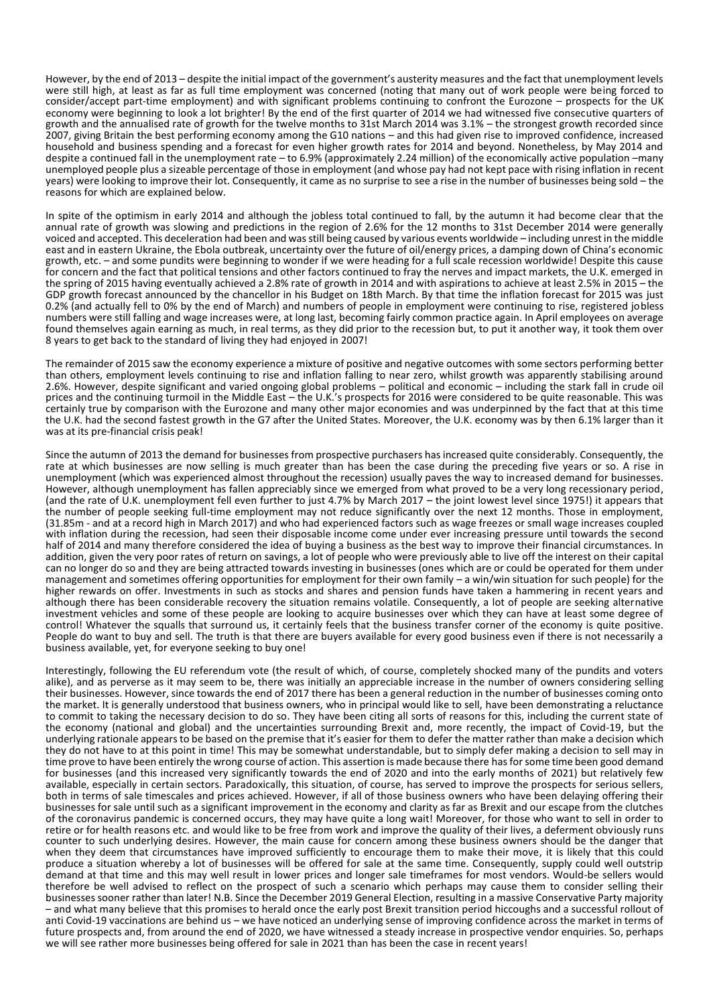However, by the end of 2013 – despite the initial impact of the government's austerity measures and the fact that unemployment levels were still high, at least as far as full time employment was concerned (noting that many out of work people were being forced to consider/accept part-time employment) and with significant problems continuing to confront the Eurozone – prospects for the UK economy were beginning to look a lot brighter! By the end of the first quarter of 2014 we had witnessed five consecutive quarters of growth and the annualised rate of growth for the twelve months to 31st March 2014 was 3.1% – the strongest growth recorded since 2007, giving Britain the best performing economy among the G10 nations – and this had given rise to improved confidence, increased household and business spending and a forecast for even higher growth rates for 2014 and beyond. Nonetheless, by May 2014 and despite a continued fall in the unemployment rate – to 6.9% (approximately 2.24 million) of the economically active population –many unemployed people plus a sizeable percentage of those in employment (and whose pay had not kept pace with rising inflation in recent years) were looking to improve their lot. Consequently, it came as no surprise to see a rise in the number of businesses being sold – the reasons for which are explained below.

In spite of the optimism in early 2014 and although the jobless total continued to fall, by the autumn it had become clear that the annual rate of growth was slowing and predictions in the region of 2.6% for the 12 months to 31st December 2014 were generally voiced and accepted. This deceleration had been and was still being caused by various events worldwide – including unrest in the middle east and in eastern Ukraine, the Ebola outbreak, uncertainty over the future of oil/energy prices, a damping down of China's economic growth, etc. – and some pundits were beginning to wonder if we were heading for a full scale recession worldwide! Despite this cause for concern and the fact that political tensions and other factors continued to fray the nerves and impact markets, the U.K. emerged in the spring of 2015 having eventually achieved a 2.8% rate of growth in 2014 and with aspirations to achieve at least 2.5% in 2015 – the GDP growth forecast announced by the chancellor in his Budget on 18th March. By that time the inflation forecast for 2015 was just 0.2% (and actually fell to 0% by the end of March) and numbers of people in employment were continuing to rise, registered jobless numbers were still falling and wage increases were, at long last, becoming fairly common practice again. In April employees on average found themselves again earning as much, in real terms, as they did prior to the recession but, to put it another way, it took them over 8 years to get back to the standard of living they had enjoyed in 2007!

The remainder of 2015 saw the economy experience a mixture of positive and negative outcomes with some sectors performing better than others, employment levels continuing to rise and inflation falling to near zero, whilst growth was apparently stabilising around 2.6%. However, despite significant and varied ongoing global problems – political and economic – including the stark fall in crude oil prices and the continuing turmoil in the Middle East – the U.K.'s prospects for 2016 were considered to be quite reasonable. This was certainly true by comparison with the Eurozone and many other major economies and was underpinned by the fact that at this time the U.K. had the second fastest growth in the G7 after the United States. Moreover, the U.K. economy was by then 6.1% larger than it was at its pre-financial crisis peak!

Since the autumn of 2013 the demand for businesses from prospective purchasers has increased quite considerably. Consequently, the rate at which businesses are now selling is much greater than has been the case during the preceding five years or so. A rise in unemployment (which was experienced almost throughout the recession) usually paves the way to increased demand for businesses. However, although unemployment has fallen appreciably since we emerged from what proved to be a very long recessionary period, (and the rate of U.K. unemployment fell even further to just 4.7% by March 2017 – the joint lowest level since 1975!) it appears that the number of people seeking full-time employment may not reduce significantly over the next 12 months. Those in employment, (31.85m - and at a record high in March 2017) and who had experienced factors such as wage freezes or small wage increases coupled with inflation during the recession, had seen their disposable income come under ever increasing pressure until towards the second half of 2014 and many therefore considered the idea of buying a business as the best way to improve their financial circumstances. In addition, given the very poor rates of return on savings, a lot of people who were previously able to live off the interest on their capital can no longer do so and they are being attracted towards investing in businesses (ones which are or could be operated for them under management and sometimes offering opportunities for employment for their own family – a win/win situation for such people) for the higher rewards on offer. Investments in such as stocks and shares and pension funds have taken a hammering in recent years and although there has been considerable recovery the situation remains volatile. Consequently, a lot of people are seeking alternative investment vehicles and some of these people are looking to acquire businesses over which they can have at least some degree of control! Whatever the squalls that surround us, it certainly feels that the business transfer corner of the economy is quite positive. People do want to buy and sell. The truth is that there are buyers available for every good business even if there is not necessarily a business available, yet, for everyone seeking to buy one!

Interestingly, following the EU referendum vote (the result of which, of course, completely shocked many of the pundits and voters alike), and as perverse as it may seem to be, there was initially an appreciable increase in the number of owners considering selling their businesses. However, since towards the end of 2017 there has been a general reduction in the number of businesses coming onto the market. It is generally understood that business owners, who in principal would like to sell, have been demonstrating a reluctance to commit to taking the necessary decision to do so. They have been citing all sorts of reasons for this, including the current state of the economy (national and global) and the uncertainties surrounding Brexit and, more recently, the impact of Covid-19, but the underlying rationale appears to be based on the premise that it's easier for them to defer the matter rather than make a decision which they do not have to at this point in time! This may be somewhat understandable, but to simply defer making a decision to sell may in time prove to have been entirely the wrong course of action. This assertion is made because there has for some time been good demand for businesses (and this increased very significantly towards the end of 2020 and into the early months of 2021) but relatively few available, especially in certain sectors. Paradoxically, this situation, of course, has served to improve the prospects for serious sellers, both in terms of sale timescales and prices achieved. However, if all of those business owners who have been delaying offering their businesses for sale until such as a significant improvement in the economy and clarity as far as Brexit and our escape from the clutches of the coronavirus pandemic is concerned occurs, they may have quite a long wait! Moreover, for those who want to sell in order to retire or for health reasons etc. and would like to be free from work and improve the quality of their lives, a deferment obviously runs counter to such underlying desires. However, the main cause for concern among these business owners should be the danger that when they deem that circumstances have improved sufficiently to encourage them to make their move, it is likely that this could produce a situation whereby a lot of businesses will be offered for sale at the same time. Consequently, supply could well outstrip demand at that time and this may well result in lower prices and longer sale timeframes for most vendors. Would-be sellers would therefore be well advised to reflect on the prospect of such a scenario which perhaps may cause them to consider selling their businesses sooner rather than later! N.B. Since the December 2019 General Election, resulting in a massive Conservative Party majority – and what many believe that this promises to herald once the early post Brexit transition period hiccoughs and a successful rollout of anti Covid-19 vaccinations are behind us – we have noticed an underlying sense of improving confidence across the market in terms of future prospects and, from around the end of 2020, we have witnessed a steady increase in prospective vendor enquiries. So, perhaps we will see rather more businesses being offered for sale in 2021 than has been the case in recent years!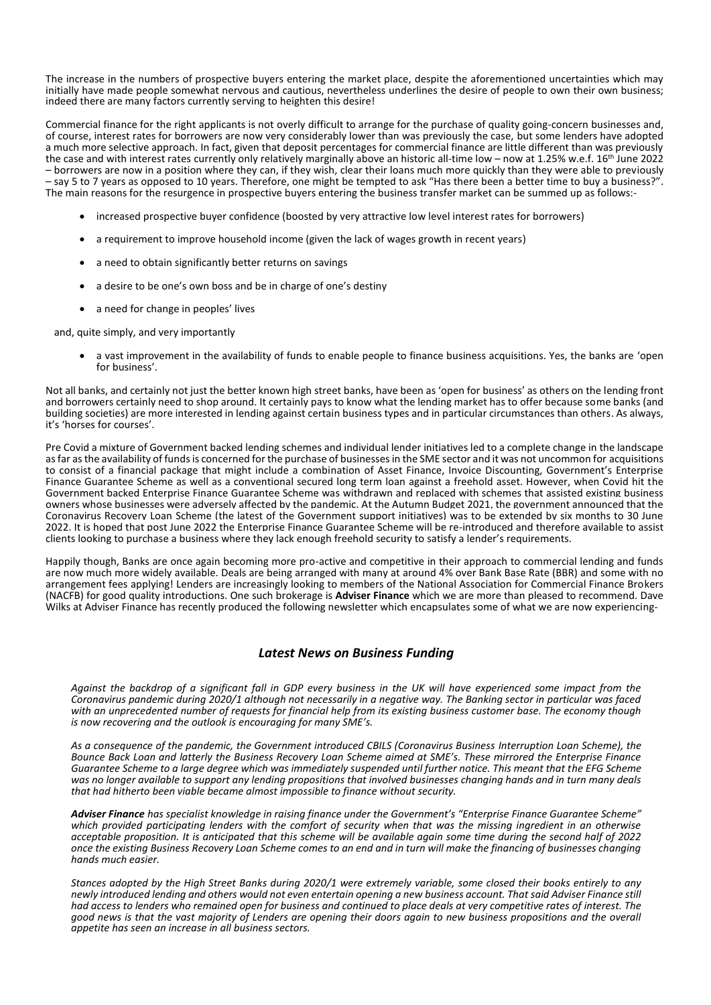The increase in the numbers of prospective buyers entering the market place, despite the aforementioned uncertainties which may initially have made people somewhat nervous and cautious, nevertheless underlines the desire of people to own their own business; indeed there are many factors currently serving to heighten this desire!

Commercial finance for the right applicants is not overly difficult to arrange for the purchase of quality going-concern businesses and, of course, interest rates for borrowers are now very considerably lower than was previously the case, but some lenders have adopted a much more selective approach. In fact, given that deposit percentages for commercial finance are little different than was previously the case and with interest rates currently only relatively marginally above an historic all-time low – now at 1.25% w.e.f. 16<sup>th</sup> June 2022 – borrowers are now in a position where they can, if they wish, clear their loans much more quickly than they were able to previously – say 5 to 7 years as opposed to 10 years. Therefore, one might be tempted to ask "Has there been a better time to buy a business?". The main reasons for the resurgence in prospective buyers entering the business transfer market can be summed up as follows:-

- increased prospective buyer confidence (boosted by very attractive low level interest rates for borrowers)
- a requirement to improve household income (given the lack of wages growth in recent years)
- a need to obtain significantly better returns on savings
- a desire to be one's own boss and be in charge of one's destiny
- a need for change in peoples' lives

and, quite simply, and very importantly

 a vast improvement in the availability of funds to enable people to finance business acquisitions. Yes, the banks are 'open for business'.

Not all banks, and certainly not just the better known high street banks, have been as 'open for business' as others on the lending front and borrowers certainly need to shop around. It certainly pays to know what the lending market has to offer because some banks (and building societies) are more interested in lending against certain business types and in particular circumstances than others. As always, it's 'horses for courses'.

Pre Covid a mixture of Government backed lending schemes and individual lender initiatives led to a complete change in the landscape as far as the availability of funds is concerned for the purchase of businesses in the SME sector and it was not uncommon for acquisitions to consist of a financial package that might include a combination of Asset Finance, Invoice Discounting, Government's Enterprise Finance Guarantee Scheme as well as a conventional secured long term loan against a freehold asset. However, when Covid hit the Government backed Enterprise Finance Guarantee Scheme was withdrawn and replaced with schemes that assisted existing business owners whose businesses were adversely affected by the pandemic. At the Autumn Budget 2021, the government announced that the Coronavirus Recovery Loan Scheme (the latest of the Government support initiatives) was to be extended by six months to 30 June 2022. It is hoped that post June 2022 the Enterprise Finance Guarantee Scheme will be re-introduced and therefore available to assist clients looking to purchase a business where they lack enough freehold security to satisfy a lender's requirements.

Happily though, Banks are once again becoming more pro-active and competitive in their approach to commercial lending and funds are now much more widely available. Deals are being arranged with many at around 4% over Bank Base Rate (BBR) and some with no arrangement fees applying! Lenders are increasingly looking to members of the National Association for Commercial Finance Brokers (NACFB) for good quality introductions. One such brokerage is **Adviser Finance** which we are more than pleased to recommend. Dave Wilks at Adviser Finance has recently produced the following newsletter which encapsulates some of what we are now experiencing-

## *Latest News on Business Funding*

*Against the backdrop of a significant fall in GDP every business in the UK will have experienced some impact from the Coronavirus pandemic during 2020/1 although not necessarily in a negative way. The Banking sector in particular was faced with an unprecedented number of requests for financial help from its existing business customer base. The economy though is now recovering and the outlook is encouraging for many SME's.*

*As a consequence of the pandemic, the Government introduced CBILS (Coronavirus Business Interruption Loan Scheme), the Bounce Back Loan and latterly the Business Recovery Loan Scheme aimed at SME's. These mirrored the Enterprise Finance Guarantee Scheme to a large degree which was immediately suspended until further notice. This meant that the EFG Scheme was no longer available to support any lending propositions that involved businesses changing hands and in turn many deals that had hitherto been viable became almost impossible to finance without security.* 

*Adviser Finance has specialist knowledge in raising finance under the Government's "Enterprise Finance Guarantee Scheme" which provided participating lenders with the comfort of security when that was the missing ingredient in an otherwise acceptable proposition. It is anticipated that this scheme will be available again some time during the second half of 2022 once the existing Business Recovery Loan Scheme comes to an end and in turn will make the financing of businesses changing hands much easier.* 

*Stances adopted by the High Street Banks during 2020/1 were extremely variable, some closed their books entirely to any newly introduced lending and others would not even entertain opening a new business account. That said Adviser Finance still had access to lenders who remained open for business and continued to place deals at very competitive rates of interest. The good news is that the vast majority of Lenders are opening their doors again to new business propositions and the overall appetite has seen an increase in all business sectors.*